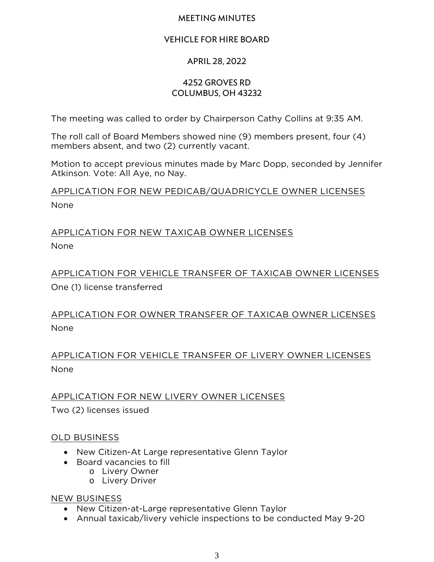### MEETING MINUTES

### VEHICLE FOR HIRE BOARD

## APRIL 28, 2022

### 4252 Groves Rd Columbus, OH 43232

The meeting was called to order by Chairperson Cathy Collins at 9:35 AM.

The roll call of Board Members showed nine (9) members present, four (4) members absent, and two (2) currently vacant.

Motion to accept previous minutes made by Marc Dopp, seconded by Jennifer Atkinson. Vote: All Aye, no Nay.

APPLICATION FOR NEW PEDICAB/QUADRICYCLE OWNER LICENSES None

# APPLICATION FOR NEW TAXICAB OWNER LICENSES None

APPLICATION FOR VEHICLE TRANSFER OF TAXICAB OWNER LICENSES One (1) license transferred

APPLICATION FOR OWNER TRANSFER OF TAXICAB OWNER LICENSES None

APPLICATION FOR VEHICLE TRANSFER OF LIVERY OWNER LICENSES None

APPLICATION FOR NEW LIVERY OWNER LICENSES Two (2) licenses issued

## OLD BUSINESS

- New Citizen-At Large representative Glenn Taylor
- Board vacancies to fill
	- o Livery Owner
	- o Livery Driver

#### NEW BUSINESS

- New Citizen-at-Large representative Glenn Taylor
- Annual taxicab/livery vehicle inspections to be conducted May 9-20